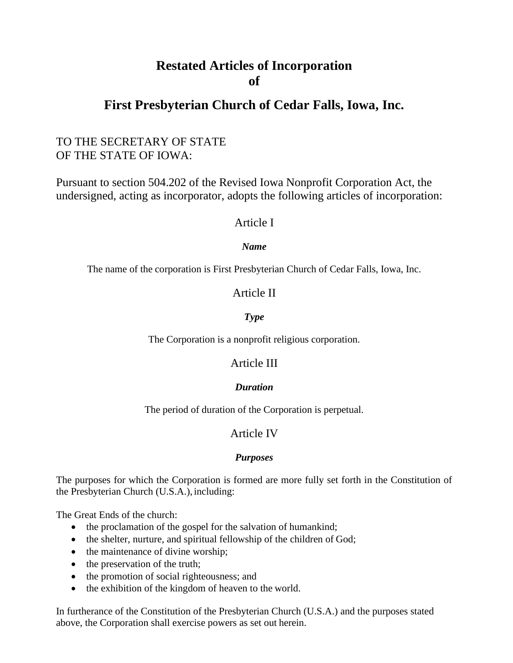# **Restated Articles of Incorporation of**

# **First Presbyterian Church of Cedar Falls, Iowa, Inc.**

## TO THE SECRETARY OF STATE OF THE STATE OF IOWA:

Pursuant to section 504.202 of the Revised Iowa Nonprofit Corporation Act, the undersigned, acting as incorporator, adopts the following articles of incorporation:

## Article I

#### *Name*

The name of the corporation is First Presbyterian Church of Cedar Falls, Iowa, Inc.

## Article II

## *Type*

The Corporation is a nonprofit religious corporation.

## Article III

#### *Duration*

The period of duration of the Corporation is perpetual.

## Article IV

#### *Purposes*

The purposes for which the Corporation is formed are more fully set forth in the Constitution of the Presbyterian Church (U.S.A.), including:

The Great Ends of the church:

- the proclamation of the gospel for the salvation of humankind;
- the shelter, nurture, and spiritual fellowship of the children of God;
- the maintenance of divine worship;
- the preservation of the truth;
- the promotion of social righteousness; and
- the exhibition of the kingdom of heaven to the world.

In furtherance of the Constitution of the Presbyterian Church (U.S.A.) and the purposes stated above, the Corporation shall exercise powers as set out herein.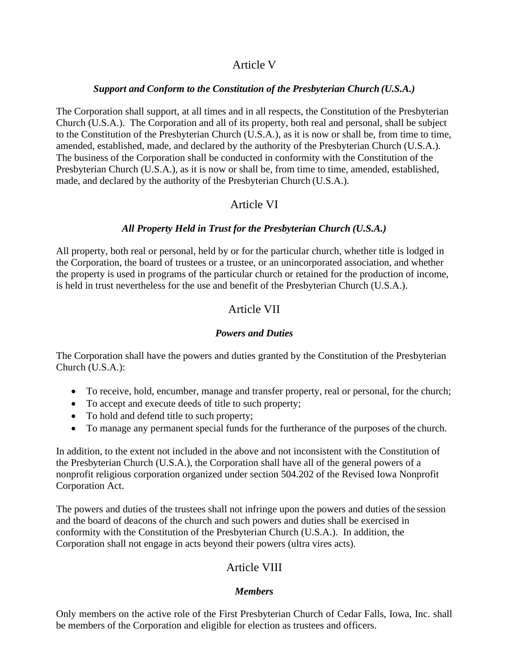## Article V

#### *Support and Conform to the Constitution of the Presbyterian Church (U.S.A.)*

The Corporation shall support, at all times and in all respects, the Constitution of the Presbyterian Church (U.S.A.). The Corporation and all of its property, both real and personal, shall be subject to the Constitution of the Presbyterian Church (U.S.A.), as it is now or shall be, from time to time, amended, established, made, and declared by the authority of the Presbyterian Church (U.S.A.). The business of the Corporation shall be conducted in conformity with the Constitution of the Presbyterian Church (U.S.A.), as it is now or shall be, from time to time, amended, established, made, and declared by the authority of the Presbyterian Church (U.S.A.).

## Article VI

#### *All Property Held in Trust for the Presbyterian Church (U.S.A.)*

All property, both real or personal, held by or for the particular church, whether title is lodged in the Corporation, the board of trustees or a trustee, or an unincorporated association, and whether the property is used in programs of the particular church or retained for the production of income, is held in trust nevertheless for the use and benefit of the Presbyterian Church (U.S.A.).

## Article VII

#### *Powers and Duties*

The Corporation shall have the powers and duties granted by the Constitution of the Presbyterian Church (U.S.A.):

- To receive, hold, encumber, manage and transfer property, real or personal, for the church;
- To accept and execute deeds of title to such property;
- To hold and defend title to such property;
- To manage any permanent special funds for the furtherance of the purposes of the church.

In addition, to the extent not included in the above and not inconsistent with the Constitution of the Presbyterian Church (U.S.A.), the Corporation shall have all of the general powers of a nonprofit religious corporation organized under section 504.202 of the Revised Iowa Nonprofit Corporation Act.

The powers and duties of the trustees shall not infringe upon the powers and duties of the session and the board of deacons of the church and such powers and duties shall be exercised in conformity with the Constitution of the Presbyterian Church (U.S.A.). In addition, the Corporation shall not engage in acts beyond their powers (ultra vires acts).

## Article VIII

#### *Members*

Only members on the active role of the First Presbyterian Church of Cedar Falls, Iowa, Inc. shall be members of the Corporation and eligible for election as trustees and officers.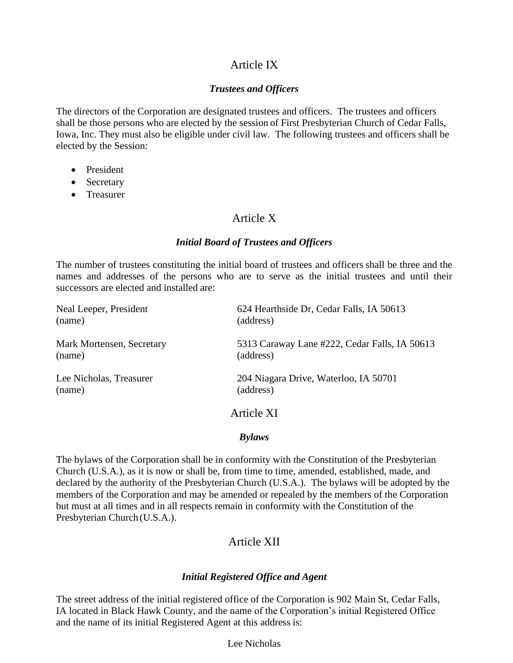## Article IX

#### *Trustees and Officers*

The directors of the Corporation are designated trustees and officers. The trustees and officers shall be those persons who are elected by the session of First Presbyterian Church of Cedar Falls, Iowa, Inc. They must also be eligible under civil law. The following trustees and officers shall be elected by the Session:

- President
- Secretary
- Treasurer

## Article X

#### *Initial Board of Trustees and Officers*

The number of trustees constituting the initial board of trustees and officers shall be three and the names and addresses of the persons who are to serve as the initial trustees and until their successors are elected and installed are:

| Neal Leeper, President    | 624 Hearthside Dr, Cedar Falls, IA 50613      |
|---------------------------|-----------------------------------------------|
| (name)                    | (address)                                     |
| Mark Mortensen, Secretary | 5313 Caraway Lane #222, Cedar Falls, IA 50613 |
| (name)                    | (address)                                     |
| Lee Nicholas, Treasurer   | 204 Niagara Drive, Waterloo, IA 50701         |
| (name)                    | (address)                                     |
|                           | Article XI                                    |

## *Bylaws*

The bylaws of the Corporation shall be in conformity with the Constitution of the Presbyterian Church (U.S.A.), as it is now or shall be, from time to time, amended, established, made, and declared by the authority of the Presbyterian Church (U.S.A.). The bylaws will be adopted by the members of the Corporation and may be amended or repealed by the members of the Corporation but must at all times and in all respects remain in conformity with the Constitution of the Presbyterian Church (U.S.A.).

## Article XII

## *Initial Registered Office and Agent*

The street address of the initial registered office of the Corporation is 902 Main St, Cedar Falls, IA located in Black Hawk County, and the name of the Corporation's initial Registered Office and the name of its initial Registered Agent at this address is:

Lee Nicholas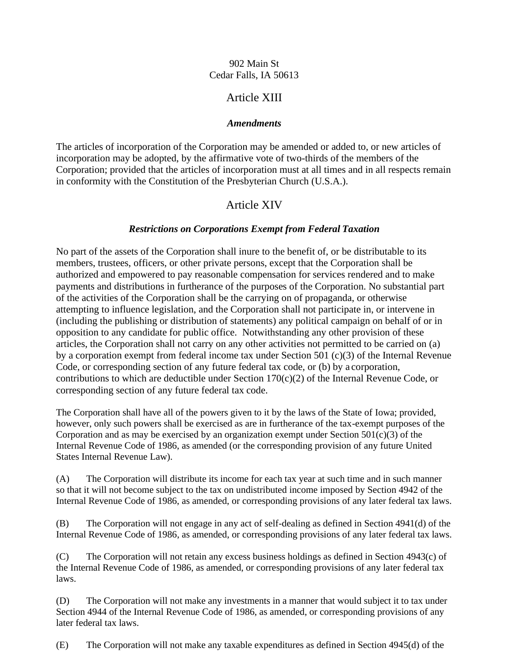#### 902 Main St Cedar Falls, IA 50613

## Article XIII

#### *Amendments*

The articles of incorporation of the Corporation may be amended or added to, or new articles of incorporation may be adopted, by the affirmative vote of two-thirds of the members of the Corporation; provided that the articles of incorporation must at all times and in all respects remain in conformity with the Constitution of the Presbyterian Church (U.S.A.).

## Article XIV

#### *Restrictions on Corporations Exempt from Federal Taxation*

No part of the assets of the Corporation shall inure to the benefit of, or be distributable to its members, trustees, officers, or other private persons, except that the Corporation shall be authorized and empowered to pay reasonable compensation for services rendered and to make payments and distributions in furtherance of the purposes of the Corporation. No substantial part of the activities of the Corporation shall be the carrying on of propaganda, or otherwise attempting to influence legislation, and the Corporation shall not participate in, or intervene in (including the publishing or distribution of statements) any political campaign on behalf of or in opposition to any candidate for public office. Notwithstanding any other provision of these articles, the Corporation shall not carry on any other activities not permitted to be carried on (a) by a corporation exempt from federal income tax under Section 501 (c)(3) of the Internal Revenue Code, or corresponding section of any future federal tax code, or (b) by a corporation, contributions to which are deductible under Section 170(c)(2) of the Internal Revenue Code, or corresponding section of any future federal tax code.

The Corporation shall have all of the powers given to it by the laws of the State of Iowa; provided, however, only such powers shall be exercised as are in furtherance of the tax-exempt purposes of the Corporation and as may be exercised by an organization exempt under Section  $501(c)(3)$  of the Internal Revenue Code of 1986, as amended (or the corresponding provision of any future United States Internal Revenue Law).

(A) The Corporation will distribute its income for each tax year at such time and in such manner so that it will not become subject to the tax on undistributed income imposed by Section 4942 of the Internal Revenue Code of 1986, as amended, or corresponding provisions of any later federal tax laws.

(B) The Corporation will not engage in any act of self-dealing as defined in Section 4941(d) of the Internal Revenue Code of 1986, as amended, or corresponding provisions of any later federal tax laws.

(C) The Corporation will not retain any excess business holdings as defined in Section 4943(c) of the Internal Revenue Code of 1986, as amended, or corresponding provisions of any later federal tax laws.

(D) The Corporation will not make any investments in a manner that would subject it to tax under Section 4944 of the Internal Revenue Code of 1986, as amended, or corresponding provisions of any later federal tax laws.

(E) The Corporation will not make any taxable expenditures as defined in Section 4945(d) of the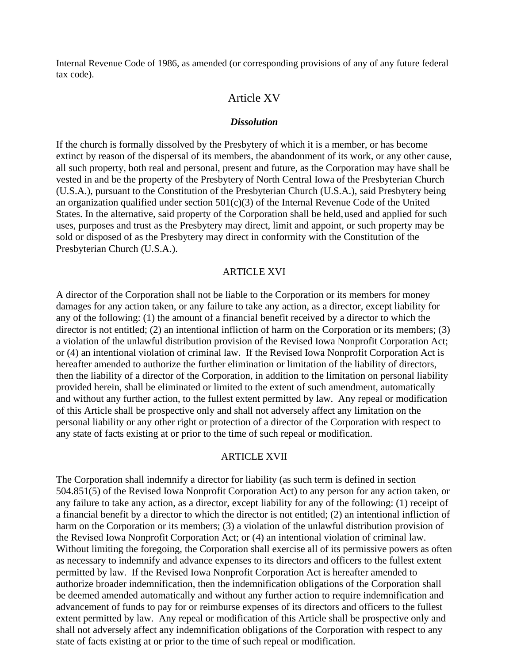Internal Revenue Code of 1986, as amended (or corresponding provisions of any of any future federal tax code).

### Article XV

#### *Dissolution*

If the church is formally dissolved by the Presbytery of which it is a member, or has become extinct by reason of the dispersal of its members, the abandonment of its work, or any other cause, all such property, both real and personal, present and future, as the Corporation may have shall be vested in and be the property of the Presbytery of North Central Iowa of the Presbyterian Church (U.S.A.), pursuant to the Constitution of the Presbyterian Church (U.S.A.), said Presbytery being an organization qualified under section  $501(c)(3)$  of the Internal Revenue Code of the United States. In the alternative, said property of the Corporation shall be held,used and applied for such uses, purposes and trust as the Presbytery may direct, limit and appoint, or such property may be sold or disposed of as the Presbytery may direct in conformity with the Constitution of the Presbyterian Church (U.S.A.).

#### ARTICLE XVI

A director of the Corporation shall not be liable to the Corporation or its members for money damages for any action taken, or any failure to take any action, as a director, except liability for any of the following: (1) the amount of a financial benefit received by a director to which the director is not entitled; (2) an intentional infliction of harm on the Corporation or its members; (3) a violation of the unlawful distribution provision of the Revised Iowa Nonprofit Corporation Act; or (4) an intentional violation of criminal law. If the Revised Iowa Nonprofit Corporation Act is hereafter amended to authorize the further elimination or limitation of the liability of directors, then the liability of a director of the Corporation, in addition to the limitation on personal liability provided herein, shall be eliminated or limited to the extent of such amendment, automatically and without any further action, to the fullest extent permitted by law. Any repeal or modification of this Article shall be prospective only and shall not adversely affect any limitation on the personal liability or any other right or protection of a director of the Corporation with respect to any state of facts existing at or prior to the time of such repeal or modification.

#### ARTICLE XVII

The Corporation shall indemnify a director for liability (as such term is defined in section 504.851(5) of the Revised Iowa Nonprofit Corporation Act) to any person for any action taken, or any failure to take any action, as a director, except liability for any of the following: (1) receipt of a financial benefit by a director to which the director is not entitled; (2) an intentional infliction of harm on the Corporation or its members; (3) a violation of the unlawful distribution provision of the Revised Iowa Nonprofit Corporation Act; or (4) an intentional violation of criminal law. Without limiting the foregoing, the Corporation shall exercise all of its permissive powers as often as necessary to indemnify and advance expenses to its directors and officers to the fullest extent permitted by law. If the Revised Iowa Nonprofit Corporation Act is hereafter amended to authorize broader indemnification, then the indemnification obligations of the Corporation shall be deemed amended automatically and without any further action to require indemnification and advancement of funds to pay for or reimburse expenses of its directors and officers to the fullest extent permitted by law. Any repeal or modification of this Article shall be prospective only and shall not adversely affect any indemnification obligations of the Corporation with respect to any state of facts existing at or prior to the time of such repeal or modification.